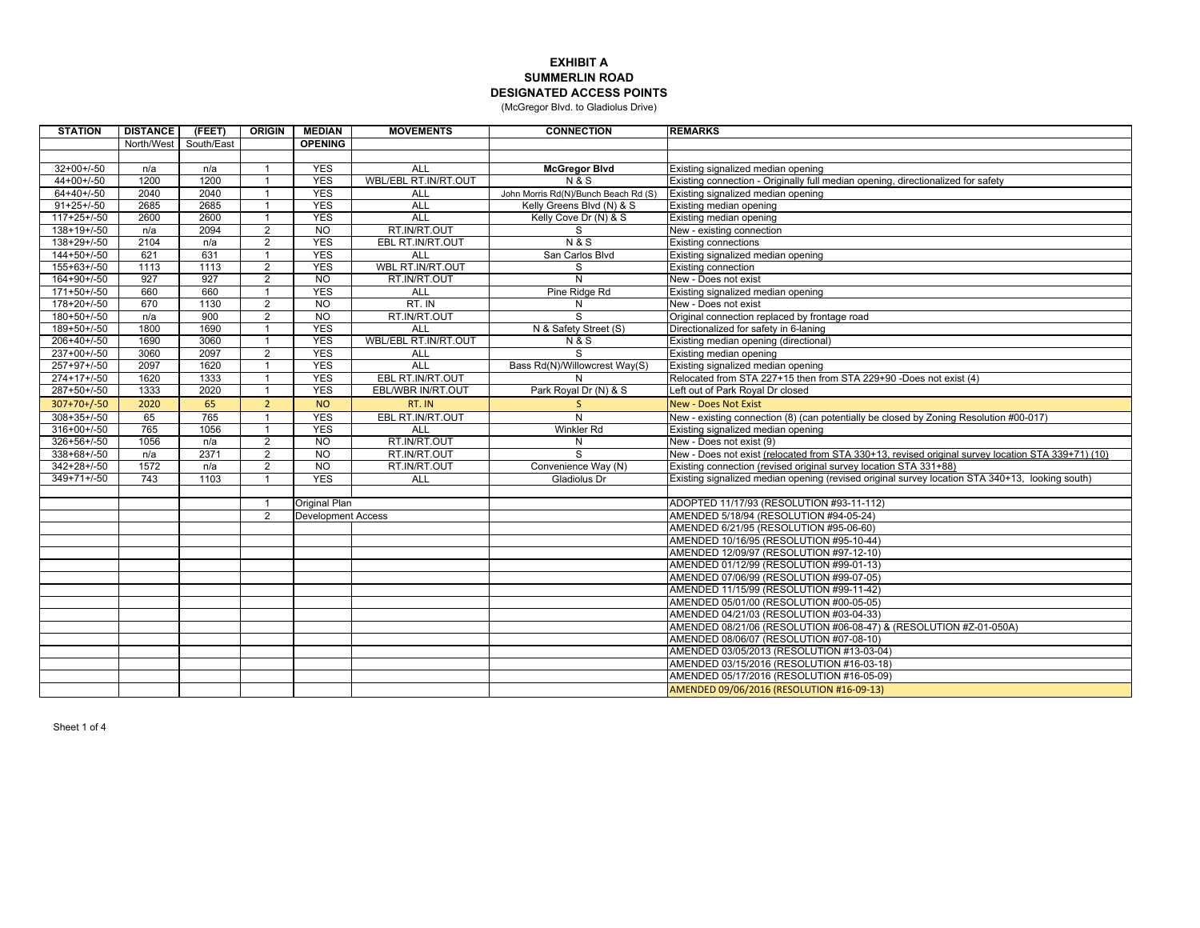## **EXHIBIT A SUMMERLIN ROADDESIGNATED ACCESS POINTS**

(McGregor Blvd. to Gladiolus Drive)

| <b>STATION</b> | <b>DISTANCE</b> | (FEET)     | <b>ORIGIN</b>  | <b>MEDIAN</b>             | <b>MOVEMENTS</b>     | <b>CONNECTION</b>                    | <b>REMARKS</b>                                                                                     |
|----------------|-----------------|------------|----------------|---------------------------|----------------------|--------------------------------------|----------------------------------------------------------------------------------------------------|
|                | North/West      | South/East |                | <b>OPENING</b>            |                      |                                      |                                                                                                    |
|                |                 |            |                |                           |                      |                                      |                                                                                                    |
| $32+00+/-50$   | n/a             | n/a        | $\overline{1}$ | <b>YES</b>                | <b>ALL</b>           | <b>McGregor Blvd</b>                 | Existing signalized median opening                                                                 |
| $44+00+/-50$   | 1200            | 1200       |                | <b>YES</b>                | WBL/EBL RT.IN/RT.OUT | <b>N&amp;S</b>                       | Existing connection - Originally full median opening, directionalized for safety                   |
| $64+40+/-50$   | 2040            | 2040       |                | <b>YES</b>                | <b>ALL</b>           | John Morris Rd(N)/Bunch Beach Rd (S) | Existing signalized median opening                                                                 |
| $91+25+/50$    | 2685            | 2685       |                | <b>YES</b>                | ALL                  | Kelly Greens Blvd (N) & S            | Existing median opening                                                                            |
| $117+25+/50$   | 2600            | 2600       |                | <b>YES</b>                | ALL                  | Kelly Cove Dr (N) & S                | Existing median opening                                                                            |
| $138+19+/-50$  | n/a             | 2094       | $\overline{2}$ | N <sub>O</sub>            | RT.IN/RT.OUT         | S                                    | New - existing connection                                                                          |
| $138+29+/-50$  | 2104            | n/a        | $\overline{2}$ | <b>YES</b>                | EBL RT.IN/RT.OUT     | <b>N&amp;S</b>                       | <b>Existing connections</b>                                                                        |
| $144+50+/-50$  | 621             | 631        |                | <b>YES</b>                | <b>ALL</b>           | San Carlos Blvd                      | Existing signalized median opening                                                                 |
| 155+63+/-50    | 1113            | 1113       | $\overline{2}$ | <b>YES</b>                | WBL RT.IN/RT.OUT     | S                                    | Existing connection                                                                                |
| 164+90+/-50    | 927             | 927        | $\overline{2}$ | N <sub>O</sub>            | RT.IN/RT.OUT         | N                                    | New - Does not exist                                                                               |
| $171+50+/-50$  | 660             | 660        |                | <b>YES</b>                | <b>ALL</b>           | Pine Ridge Rd                        | Existing signalized median opening                                                                 |
| $178+20+/-50$  | 670             | 1130       | 2              | N <sub>O</sub>            | RT. IN               | N                                    | New - Does not exist                                                                               |
| $180+50+/50$   | n/a             | 900        | 2              | NO                        | RT.IN/RT.OUT         | S                                    | Original connection replaced by frontage road                                                      |
| 189+50+/-50    | 1800            | 1690       | $\overline{1}$ | <b>YES</b>                | ALL                  | N & Safety Street (S)                | Directionalized for safety in 6-laning                                                             |
| $206+40+/-50$  | 1690            | 3060       |                | <b>YES</b>                | WBL/EBL RT.IN/RT.OUT | <b>N&amp;S</b>                       | Existing median opening (directional)                                                              |
| $237+00+/-50$  | 3060            | 2097       | $\overline{2}$ | <b>YES</b>                | <b>ALL</b>           | S                                    | Existing median opening                                                                            |
| $257+97+/50$   | 2097            | 1620       | $\overline{1}$ | <b>YES</b>                | ALL                  | Bass Rd(N)/Willowcrest Way(S)        | Existing signalized median opening                                                                 |
| $274+17+/-50$  | 1620            | 1333       |                | <b>YES</b>                | EBL RT.IN/RT.OUT     | N                                    | Relocated from STA 227+15 then from STA 229+90 -Does not exist (4)                                 |
| $287+50+/-50$  | 1333            | 2020       |                | <b>YES</b>                | EBL/WBR IN/RT.OUT    | Park Royal Dr (N) & S                | Left out of Park Royal Dr closed                                                                   |
| $307+70+/-50$  | 2020            | 65         | $\overline{2}$ | <b>NO</b>                 | RT. IN               | S.                                   | <b>New - Does Not Exist</b>                                                                        |
| $308+35+/-50$  | 65              | 765        |                | <b>YES</b>                | EBL RT.IN/RT.OUT     | N                                    | New - existing connection (8) (can potentially be closed by Zoning Resolution #00-017)             |
| $316+00+/50$   | 765             | 1056       |                | <b>YES</b>                | ALL                  | <b>Winkler Rd</b>                    | Existing signalized median opening                                                                 |
| $326+56+/-50$  | 1056            | n/a        | 2              | N <sub>O</sub>            | RT.IN/RT.OUT         | N                                    | New - Does not exist (9)                                                                           |
| $338+68+/50$   | n/a             | 2371       | $\overline{2}$ | <b>NO</b>                 | RT.IN/RT.OUT         | S                                    | New - Does not exist (relocated from STA 330+13, revised original survey location STA 339+71) (10) |
| $342+28+/-50$  | 1572            | n/a        | $\overline{2}$ | N <sub>O</sub>            | RT.IN/RT.OUT         | Convenience Way (N)                  | Existing connection (revised original survey location STA 331+88)                                  |
| $349+71+/-50$  | 743             | 1103       |                | <b>YES</b>                | <b>ALL</b>           | <b>Gladiolus Dr</b>                  | Existing signalized median opening (revised original survey location STA 340+13, looking south)    |
|                |                 |            |                |                           |                      |                                      |                                                                                                    |
|                |                 |            | -1             | Original Plan             |                      |                                      | ADOPTED 11/17/93 (RESOLUTION #93-11-112)                                                           |
|                |                 |            | $\overline{2}$ | <b>Development Access</b> |                      |                                      | AMENDED 5/18/94 (RESOLUTION #94-05-24)                                                             |
|                |                 |            |                |                           |                      |                                      | AMENDED 6/21/95 (RESOLUTION #95-06-60)                                                             |
|                |                 |            |                |                           |                      |                                      | AMENDED 10/16/95 (RESOLUTION #95-10-44)                                                            |
|                |                 |            |                |                           |                      |                                      | AMENDED 12/09/97 (RESOLUTION #97-12-10)                                                            |
|                |                 |            |                |                           |                      |                                      | AMENDED 01/12/99 (RESOLUTION #99-01-13)                                                            |
|                |                 |            |                |                           |                      |                                      | AMENDED 07/06/99 (RESOLUTION #99-07-05)                                                            |
|                |                 |            |                |                           |                      |                                      | AMENDED 11/15/99 (RESOLUTION #99-11-42)                                                            |
|                |                 |            |                |                           |                      |                                      | AMENDED 05/01/00 (RESOLUTION #00-05-05)                                                            |
|                |                 |            |                |                           |                      |                                      | AMENDED 04/21/03 (RESOLUTION #03-04-33)                                                            |
|                |                 |            |                |                           |                      |                                      | AMENDED 08/21/06 (RESOLUTION #06-08-47) & (RESOLUTION #Z-01-050A)                                  |
|                |                 |            |                |                           |                      |                                      | AMENDED 08/06/07 (RESOLUTION #07-08-10)                                                            |
|                |                 |            |                |                           |                      |                                      | AMENDED 03/05/2013 (RESOLUTION #13-03-04)                                                          |
|                |                 |            |                |                           |                      |                                      | AMENDED 03/15/2016 (RESOLUTION #16-03-18)                                                          |
|                |                 |            |                |                           |                      |                                      | AMENDED 05/17/2016 (RESOLUTION #16-05-09)                                                          |
|                |                 |            |                |                           |                      |                                      | AMENDED 09/06/2016 (RESOLUTION #16-09-13)                                                          |
|                |                 |            |                |                           |                      |                                      |                                                                                                    |

Sheet 1 of 4